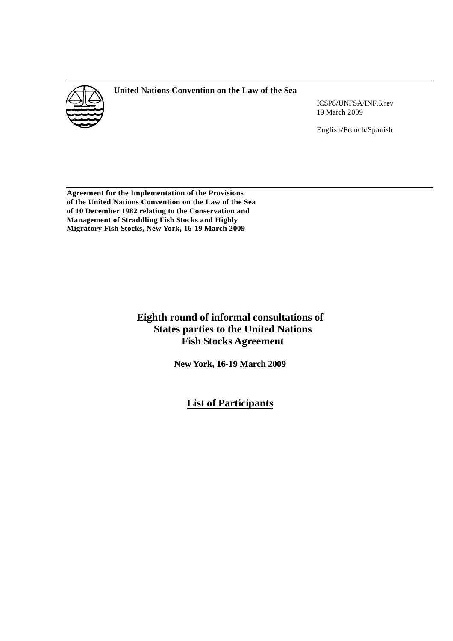

# **United Nations Convention on the Law of the Sea**

ICSP8/UNFSA/INF.5.rev 19 March 2009

English/French/Spanish

**Agreement for the Implementation of the Provisions of the United Nations Convention on the Law of the Sea of 10 December 1982 relating to the Conservation and Management of Straddling Fish Stocks and Highly Migratory Fish Stocks, New York, 16-19 March 2009** 

# **Eighth round of informal consultations of States parties to the United Nations Fish Stocks Agreement**

**New York, 16-19 March 2009** 

**List of Participants**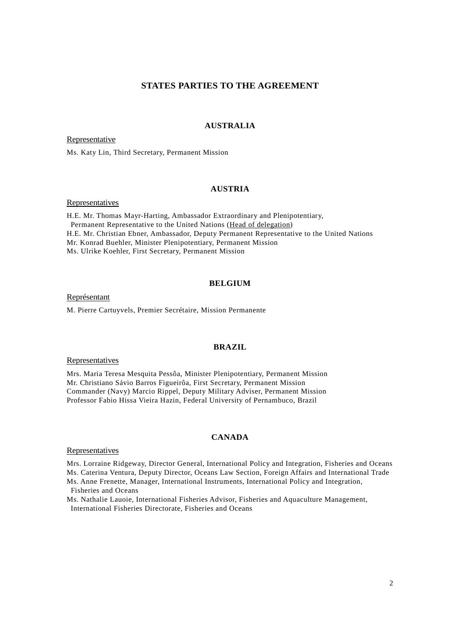# **STATES PARTIES TO THE AGREEMENT**

### **AUSTRALIA**

Representative

Ms. Katy Lin, Third Secretary, Permanent Mission

### **AUSTRIA**

**Representatives** 

H.E. Mr. Thomas Mayr-Harting, Ambassador Extraordinary and Plenipotentiary, Permanent Representative to the United Nations (Head of delegation) H.E. Mr. Christian Ebner, Ambassador, Deputy Permanent Representative to the United Nations Mr. Konrad Buehler, Minister Plenipotentiary, Permanent Mission Ms. Ulrike Koehler, First Secretary, Permanent Mission

#### **BELGIUM**

Représentant

M. Pierre Cartuyvels, Premier Secrétaire, Mission Permanente

### **BRAZIL**

Representatives

Mrs. Maria Teresa Mesquita Pessôa, Minister Plenipotentiary, Permanent Mission Mr. Christiano Sávio Barros Figueirôa, First Secretary, Permanent Mission Commander (Navy) Marcio Rippel, Deputy Military Adviser, Permanent Mission Professor Fabio Hissa Vieira Hazin, Federal University of Pernambuco, Brazil

### **CANADA**

#### Representatives

Mrs. Lorraine Ridgeway, Director General, International Policy and Integration, Fisheries and Oceans Ms. Caterina Ventura, Deputy Director, Oceans Law Section, Foreign Affairs and International Trade

Ms. Anne Frenette, Manager, International Instruments, International Policy and Integration, Fisheries and Oceans

Ms. Nathalie Lauoie, International Fisheries Advisor, Fisheries and Aquaculture Management, International Fisheries Directorate, Fisheries and Oceans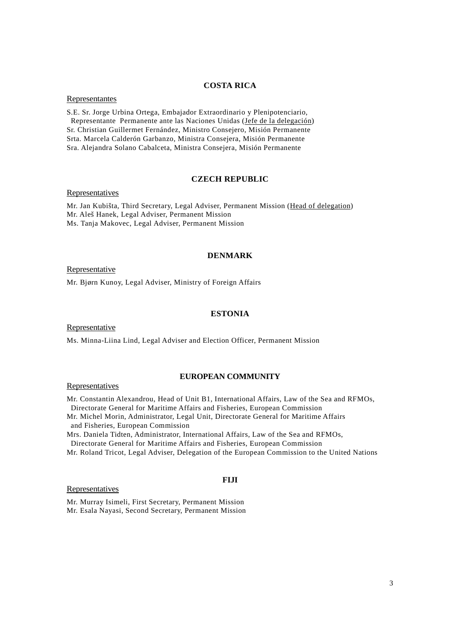### **COSTA RICA**

### Representantes

S.E. Sr. Jorge Urbina Ortega, Embajador Extraordinario y Plenipotenciario, Representante Permanente ante las Naciones Unidas (Jefe de la delegación) Sr. Christian Guillermet Fernández, Ministro Consejero, Misión Permanente Srta. Marcela Calderón Garbanzo, Ministra Consejera, Misión Permanente Sra. Alejandra Solano Cabalceta, Ministra Consejera, Misión Permanente

### **CZECH REPUBLIC**

#### **Representatives**

Mr. Jan Kubišta, Third Secretary, Legal Adviser, Permanent Mission (Head of delegation) Mr. Aleš Hanek, Legal Adviser, Permanent Mission Ms. Tanja Makovec, Legal Adviser, Permanent Mission

## **DENMARK**

**Representative** 

Mr. Bjørn Kunoy, Legal Adviser, Ministry of Foreign Affairs

# **ESTONIA**

**Representative** 

Ms. Minna-Liina Lind, Legal Adviser and Election Officer, Permanent Mission

# **EUROPEAN COMMUNITY**

**Representatives** 

Mr. Constantin Alexandrou, Head of Unit B1, International Affairs, Law of the Sea and RFMOs, Directorate General for Maritime Affairs and Fisheries, European Commission

Mr. Michel Morin, Administrator, Legal Unit, Directorate General for Maritime Affairs and Fisheries, European Commission

Mrs. Daniela Tidten, Administrator, International Affairs, Law of the Sea and RFMOs,

Directorate General for Maritime Affairs and Fisheries, European Commission

Mr. Roland Tricot, Legal Adviser, Delegation of the European Commission to the United Nations

#### Representatives

### **FIJI**

Mr. Murray Isimeli, First Secretary, Permanent Mission Mr. Esala Nayasi, Second Secretary, Permanent Mission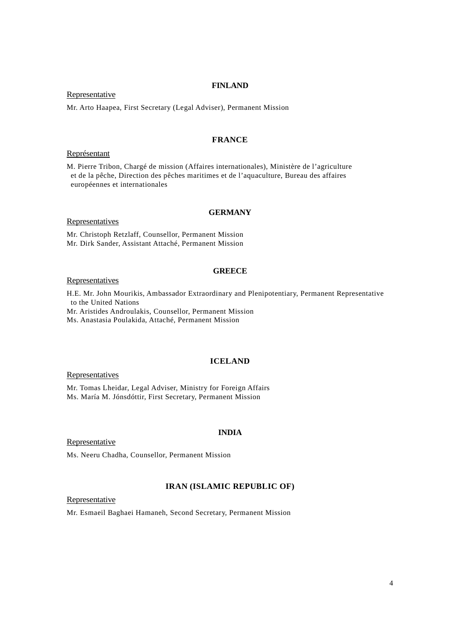#### **FINLAND**

**Representative** 

Mr. Arto Haapea, First Secretary (Legal Adviser), Permanent Mission

# **FRANCE**

#### Représentant

M. Pierre Tribon, Chargé de mission (Affaires internationales), Ministère de l'agriculture et de la pêche, Direction des pêches maritimes et de l'aquaculture, Bureau des affaires européennes et internationales

### **GERMANY**

Representatives

Mr. Christoph Retzlaff, Counsellor, Permanent Mission Mr. Dirk Sander, Assistant Attaché, Permanent Mission

#### **GREECE**

### **Representatives**

H.E. Mr. John Mourikis, Ambassador Extraordinary and Plenipotentiary, Permanent Representative to the United Nations

Mr. Aristides Androulakis, Counsellor, Permanent Mission

Ms. Anastasia Poulakida, Attaché, Permanent Mission

### **ICELAND**

**Representatives** 

Mr. Tomas Lheidar, Legal Adviser, Ministry for Foreign Affairs Ms. María M. Jónsdóttir, First Secretary, Permanent Mission

#### Representative

Ms. Neeru Chadha, Counsellor, Permanent Mission

### **IRAN (ISLAMIC REPUBLIC OF)**

**INDIA** 

Representative

Mr. Esmaeil Baghaei Hamaneh, Second Secretary, Permanent Mission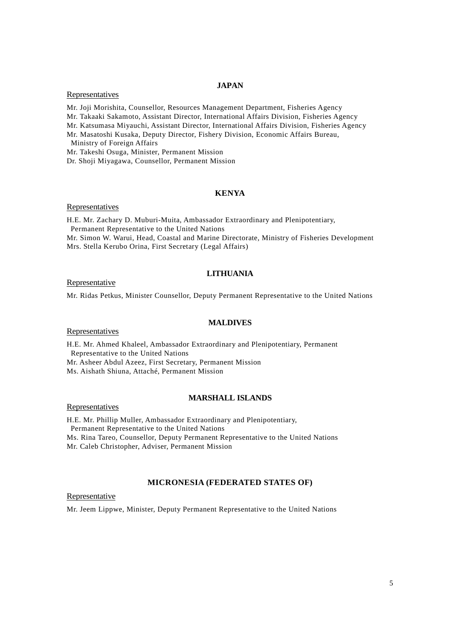#### **JAPAN**

### Representatives

Mr. Joji Morishita, Counsellor, Resources Management Department, Fisheries Agency

Mr. Takaaki Sakamoto, Assistant Director, International Affairs Division, Fisheries Agency

Mr. Katsumasa Miyauchi, Assistant Director, International Affairs Division, Fisheries Agency

Mr. Masatoshi Kusaka, Deputy Director, Fishery Division, Economic Affairs Bureau, Ministry of Foreign Affairs

Mr. Takeshi Osuga, Minister, Permanent Mission

Dr. Shoji Miyagawa, Counsellor, Permanent Mission

### **KENYA**

#### **Representatives**

H.E. Mr. Zachary D. Muburi-Muita, Ambassador Extraordinary and Plenipotentiary, Permanent Representative to the United Nations Mr. Simon W. Warui, Head, Coastal and Marine Directorate, Ministry of Fisheries Development

Mrs. Stella Kerubo Orina, First Secretary (Legal Affairs)

### **LITHUANIA**

### Representative

Mr. Ridas Petkus, Minister Counsellor, Deputy Permanent Representative to the United Nations

### **MALDIVES**

#### Representatives

H.E. Mr. Ahmed Khaleel, Ambassador Extraordinary and Plenipotentiary, Permanent Representative to the United Nations

Mr. Asheer Abdul Azeez, First Secretary, Permanent Mission

Ms. Aishath Shiuna, Attaché, Permanent Mission

### **MARSHALL ISLANDS**

Representatives

H.E. Mr. Phillip Muller, Ambassador Extraordinary and Plenipotentiary, Permanent Representative to the United Nations Ms. Rina Tareo, Counsellor, Deputy Permanent Representative to the United Nations Mr. Caleb Christopher, Adviser, Permanent Mission

#### **MICRONESIA (FEDERATED STATES OF)**

#### Representative

Mr. Jeem Lippwe, Minister, Deputy Permanent Representative to the United Nations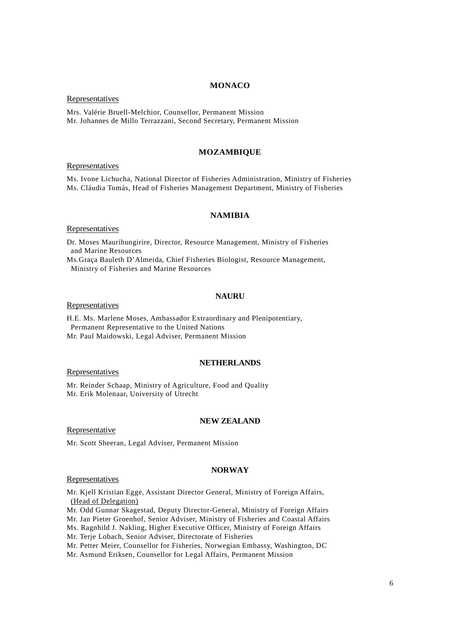#### **MONACO**

Representatives

Mrs. Valérie Bruell-Melchior, Counsellor, Permanent Mission Mr. Johannes de Millo Terrazzani, Second Secretary, Permanent Mission

### **MOZAMBIQUE**

#### Representatives

Ms. Ivone Lichucha, National Director of Fisheries Administration, Ministry of Fisheries Ms. Cláudia Tomás, Head of Fisheries Management Department, Ministry of Fisheries

### **NAMIBIA**

**Representatives** 

Dr. Moses Maurihungirire, Director, Resource Management, Ministry of Fisheries and Marine Resources

Ms.Graça Bauleth D'Almeida, Chief Fisheries Biologist, Resource Management, Ministry of Fisheries and Marine Resources

### **NAURU**

#### Representatives

H.E. Ms. Marlene Moses, Ambassador Extraordinary and Plenipotentiary, Permanent Representative to the United Nations Mr. Paul Maidowski, Legal Adviser, Permanent Mission

### **NETHERLANDS**

Representatives

Mr. Reinder Schaap, Ministry of Agriculture, Food and Quality Mr. Erik Molenaar, University of Utrecht

### **NEW ZEALAND**

Representative

Mr. Scott Sheeran, Legal Adviser, Permanent Mission

# **NORWAY**

### Representatives

Mr. Kjell Kristian Egge, Assistant Director General, Ministry of Foreign Affairs, (Head of Delegation)

Mr. Odd Gunnar Skagestad, Deputy Director-General, Ministry of Foreign Affairs

Mr. Jan Pieter Groenhof, Senior Adviser, Ministry of Fisheries and Coastal Affairs

Ms. Ragnhild J. Nakling, Higher Executive Officer, Ministry of Foreign Affairs

Mr. Terje Lobach, Senior Adviser, Directorate of Fisheries

Mr. Petter Meier, Counsellor for Fisheries, Norwegian Embassy, Washington, DC

Mr. Asmund Eriksen, Counsellor for Legal Affairs, Permanent Mission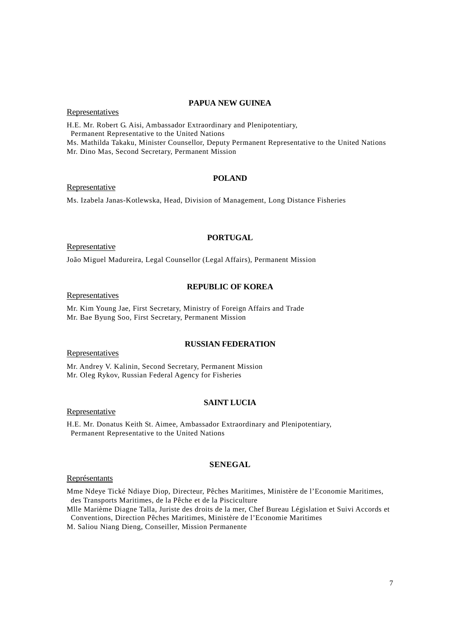### **PAPUA NEW GUINEA**

**Representatives** 

H.E. Mr. Robert G. Aisi, Ambassador Extraordinary and Plenipotentiary, Permanent Representative to the United Nations Ms. Mathilda Takaku, Minister Counsellor, Deputy Permanent Representative to the United Nations Mr. Dino Mas, Second Secretary, Permanent Mission

#### **POLAND**

**Representative** 

Ms. Izabela Janas-Kotlewska, Head, Division of Management, Long Distance Fisheries

# **PORTUGAL**

Representative

João Miguel Madureira, Legal Counsellor (Legal Affairs), Permanent Mission

# **REPUBLIC OF KOREA**

**Representatives** 

Mr. Kim Young Jae, First Secretary, Ministry of Foreign Affairs and Trade Mr. Bae Byung Soo, First Secretary, Permanent Mission

### **RUSSIAN FEDERATION**

**Representatives** 

Mr. Andrey V. Kalinin, Second Secretary, Permanent Mission Mr. Oleg Rykov, Russian Federal Agency for Fisheries

#### **SAINT LUCIA**

Representative

H.E. Mr. Donatus Keith St. Aimee, Ambassador Extraordinary and Plenipotentiary, Permanent Representative to the United Nations

### **SENEGAL**

#### Représentants

Mme Ndeye Tické Ndiaye Diop, Directeur, Pêches Maritimes, Ministère de l'Economie Maritimes, des Transports Maritimes, de la Pêche et de la Pisciculture

Mlle Marième Diagne Talla, Juriste des droits de la mer, Chef Bureau Législation et Suivi Accords et Conventions, Direction Pêches Maritimes, Ministère de l'Economie Maritimes

M. Saliou Niang Dieng, Conseiller, Mission Permanente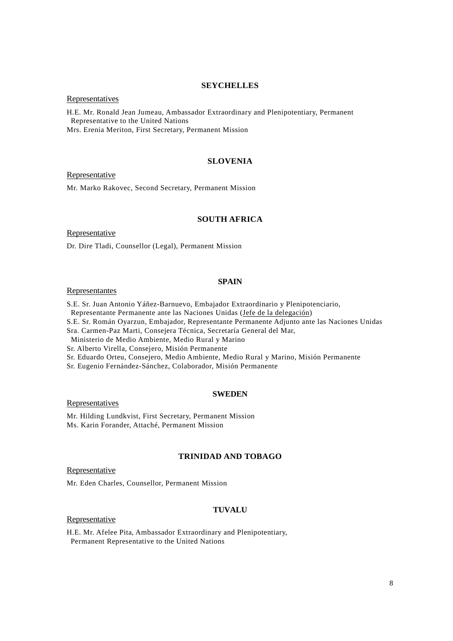#### **SEYCHELLES**

## Representatives

H.E. Mr. Ronald Jean Jumeau, Ambassador Extraordinary and Plenipotentiary, Permanent Representative to the United Nations Mrs. Erenia Meriton, First Secretary, Permanent Mission

#### **SLOVENIA**

### Representative

Mr. Marko Rakovec, Second Secretary, Permanent Mission

#### **SOUTH AFRICA**

**Representative** 

Dr. Dire Tladi, Counsellor (Legal), Permanent Mission

# **SPAIN**

#### Representantes

S.E. Sr. Juan Antonio Yáñez-Barnuevo, Embajador Extraordinario y Plenipotenciario,

Representante Permanente ante las Naciones Unidas (Jefe de la delegación)

S.E. Sr. Román Oyarzun, Embajador, Representante Permanente Adjunto ante las Naciones Unidas

Sra. Carmen-Paz Marti, Consejera Técnica, Secretaría General del Mar,

Ministerio de Medio Ambiente, Medio Rural y Marino

Sr. Alberto Virella, Consejero, Misión Permanente

Sr. Eduardo Orteu, Consejero, Medio Ambiente, Medio Rural y Marino, Misión Permanente

Sr. Eugenio Fernández-Sánchez, Colaborador, Misión Permanente

#### **SWEDEN**

**Representatives** 

Mr. Hilding Lundkvist, First Secretary, Permanent Mission Ms. Karin Forander, Attaché, Permanent Mission

# **TRINIDAD AND TOBAGO**

Representative

Mr. Eden Charles, Counsellor, Permanent Mission

#### **TUVALU**

#### Representative

H.E. Mr. Afelee Pita, Ambassador Extraordinary and Plenipotentiary, Permanent Representative to the United Nations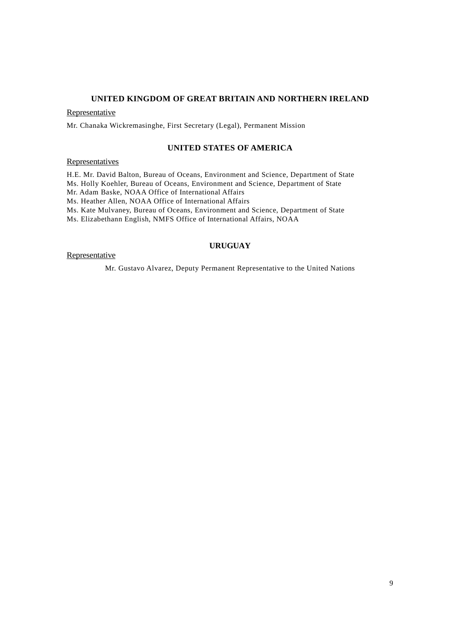### **UNITED KINGDOM OF GREAT BRITAIN AND NORTHERN IRELAND**

**Representative** 

Mr. Chanaka Wickremasinghe, First Secretary (Legal), Permanent Mission

### **UNITED STATES OF AMERICA**

**Representatives** 

H.E. Mr. David Balton, Bureau of Oceans, Environment and Science, Department of State Ms. Holly Koehler, Bureau of Oceans, Environment and Science, Department of State

Mr. Adam Baske, NOAA Office of International Affairs

Ms. Heather Allen, NOAA Office of International Affairs

Ms. Kate Mulvaney, Bureau of Oceans, Environment and Science, Department of State

Ms. Elizabethann English, NMFS Office of International Affairs, NOAA

### **URUGUAY**

Representative

Mr. Gustavo Alvarez, Deputy Permanent Representative to the United Nations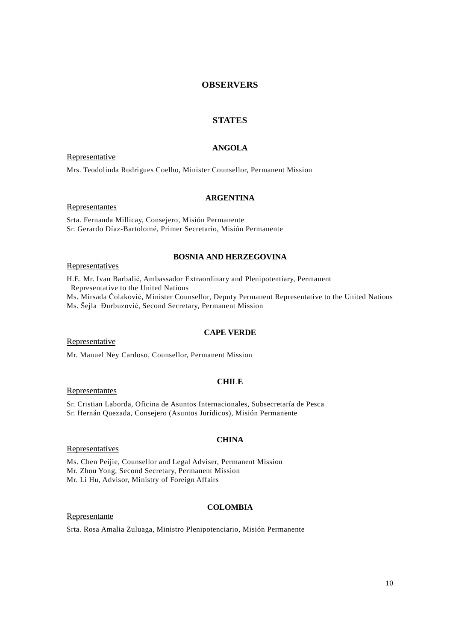## **OBSERVERS**

# **STATES**

# **ANGOLA**

Representative

Mrs. Teodolinda Rodrigues Coelho, Minister Counsellor, Permanent Mission

### **ARGENTINA**

Representantes

Srta. Fernanda Millicay, Consejero, Misión Permanente Sr. Gerardo Díaz-Bartolomé, Primer Secretario, Misión Permanente

### **BOSNIA AND HERZEGOVINA**

**Representatives** 

H.E. Mr. Ivan Barbalić, Ambassador Extraordinary and Plenipotentiary, Permanent Representative to the United Nations Ms. Mirsada Čolaković, Minister Counsellor, Deputy Permanent Representative to the United Nations Ms. Šejla ðurbuzović, Second Secretary, Permanent Mission

### **CAPE VERDE**

Representative

Mr. Manuel Ney Cardoso, Counsellor, Permanent Mission

### **CHILE**

Representantes

Sr. Cristian Laborda, Oficina de Asuntos Internacionales, Subsecretaría de Pesca Sr. Hernán Quezada, Consejero (Asuntos Jurídicos), Misión Permanente

# **CHINA**

Representatives

Ms. Chen Peijie, Counsellor and Legal Adviser, Permanent Mission Mr. Zhou Yong, Second Secretary, Permanent Mission Mr. Li Hu, Advisor, Ministry of Foreign Affairs

# **COLOMBIA**

Representante

Srta. Rosa Amalia Zuluaga, Ministro Plenipotenciario, Misión Permanente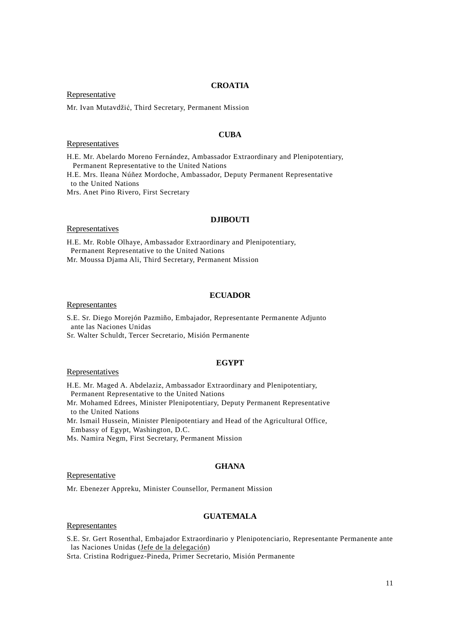#### **CROATIA**

### **Representative**

Mr. Ivan Mutavdžić, Third Secretary, Permanent Mission

#### **CUBA**

#### Representatives

H.E. Mr. Abelardo Moreno Fernández, Ambassador Extraordinary and Plenipotentiary, Permanent Representative to the United Nations H.E. Mrs. Ileana Núñez Mordoche, Ambassador, Deputy Permanent Representative to the United Nations

Mrs. Anet Pino Rivero, First Secretary

#### **DJIBOUTI**

**Representatives** 

H.E. Mr. Roble Olhaye, Ambassador Extraordinary and Plenipotentiary, Permanent Representative to the United Nations Mr. Moussa Djama Ali, Third Secretary, Permanent Mission

### **ECUADOR**

#### Representantes

S.E. Sr. Diego Morejón Pazmiño, Embajador, Representante Permanente Adjunto ante las Naciones Unidas

Sr. Walter Schuldt, Tercer Secretario, Misión Permanente

### **EGYPT**

**Representatives** 

H.E. Mr. Maged A. Abdelaziz, Ambassador Extraordinary and Plenipotentiary, Permanent Representative to the United Nations

Mr. Mohamed Edrees, Minister Plenipotentiary, Deputy Permanent Representative to the United Nations

Mr. Ismail Hussein, Minister Plenipotentiary and Head of the Agricultural Office, Embassy of Egypt, Washington, D.C.

Ms. Namira Negm, First Secretary, Permanent Mission

### **GHANA**

#### **Representative**

Mr. Ebenezer Appreku, Minister Counsellor, Permanent Mission

# **GUATEMALA**

#### Representantes

S.E. Sr. Gert Rosenthal, Embajador Extraordinario y Plenipotenciario, Representante Permanente ante las Naciones Unidas (Jefe de la delegación)

Srta. Cristina Rodriguez-Pineda, Primer Secretario, Misión Permanente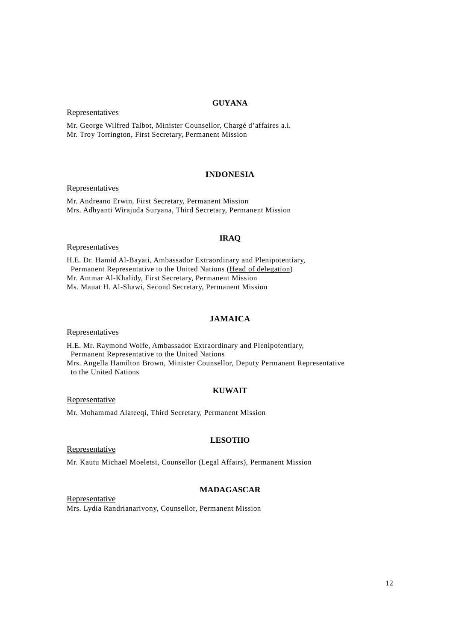### **GUYANA**

**Representatives** 

Mr. George Wilfred Talbot, Minister Counsellor, Chargé d'affaires a.i. Mr. Troy Torrington, First Secretary, Permanent Mission

### **INDONESIA**

Representatives

Mr. Andreano Erwin, First Secretary, Permanent Mission Mrs. Adhyanti Wirajuda Suryana, Third Secretary, Permanent Mission

### **IRAQ**

**Representatives** 

H.E. Dr. Hamid Al-Bayati, Ambassador Extraordinary and Plenipotentiary, Permanent Representative to the United Nations (Head of delegation) Mr. Ammar Al-Khalidy, First Secretary, Permanent Mission Ms. Manat H. Al-Shawi, Second Secretary, Permanent Mission

#### **JAMAICA**

**Representatives** 

H.E. Mr. Raymond Wolfe, Ambassador Extraordinary and Plenipotentiary, Permanent Representative to the United Nations Mrs. Angella Hamilton Brown, Minister Counsellor, Deputy Permanent Representative

to the United Nations

#### **KUWAIT**

**Representative** 

Mr. Mohammad Alateeqi, Third Secretary, Permanent Mission

# **LESOTHO**

**Representative** 

Mr. Kautu Michael Moeletsi, Counsellor (Legal Affairs), Permanent Mission

### **MADAGASCAR**

**Representative** Mrs. Lydia Randrianarivony, Counsellor, Permanent Mission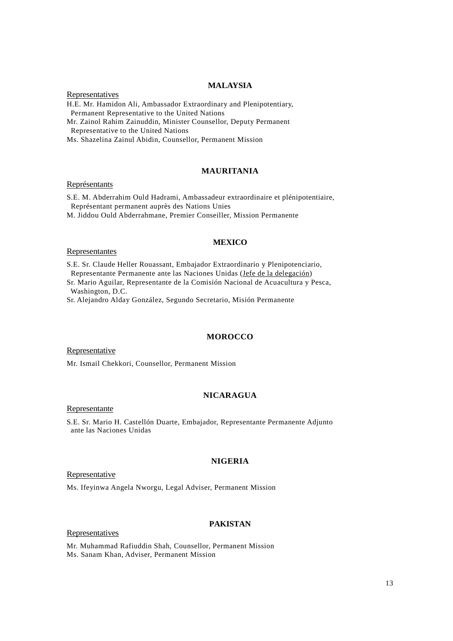### **MALAYSIA**

**Representatives** H.E. Mr. Hamidon Ali, Ambassador Extraordinary and Plenipotentiary, Permanent Representative to the United Nations

Mr. Zainol Rahim Zainuddin, Minister Counsellor, Deputy Permanent Representative to the United Nations

Ms. Shazelina Zainul Abidin, Counsellor, Permanent Mission

### **MAURITANIA**

#### Représentants

S.E. M. Abderrahim Ould Hadrami, Ambassadeur extraordinaire et plénipotentiaire, Représentant permanent auprès des Nations Unies

M. Jiddou Ould Abderrahmane, Premier Conseiller, Mission Permanente

### **MEXICO**

#### Representantes

S.E. Sr. Claude Heller Rouassant, Embajador Extraordinario y Plenipotenciario, Representante Permanente ante las Naciones Unidas (Jefe de la delegación)

Sr. Mario Aguilar, Representante de la Comisión Nacional de Acuacultura y Pesca, Washington, D.C.

Sr. Alejandro Alday González, Segundo Secretario, Misión Permanente

#### **MOROCCO**

Representative

Mr. Ismail Chekkori, Counsellor, Permanent Mission

### **NICARAGUA**

#### Representante

S.E. Sr. Mario H. Castellón Duarte, Embajador, Representante Permanente Adjunto ante las Naciones Unidas

#### **NIGERIA**

#### Representative

Ms. Ifeyinwa Angela Nworgu, Legal Adviser, Permanent Mission

### **PAKISTAN**

#### Representatives

Mr. Muhammad Rafiuddin Shah, Counsellor, Permanent Mission Ms. Sanam Khan, Adviser, Permanent Mission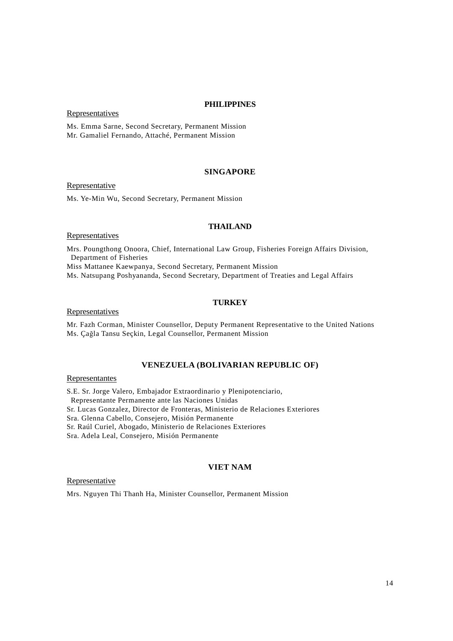### **PHILIPPINES**

Representatives

Ms. Emma Sarne, Second Secretary, Permanent Mission Mr. Gamaliel Fernando, Attaché, Permanent Mission

### **SINGAPORE**

Representative

Ms. Ye-Min Wu, Second Secretary, Permanent Mission

### **THAILAND**

**Representatives** 

Mrs. Poungthong Onoora, Chief, International Law Group, Fisheries Foreign Affairs Division, Department of Fisheries Miss Mattanee Kaewpanya, Second Secretary, Permanent Mission

Ms. Natsupang Poshyananda, Second Secretary, Department of Treaties and Legal Affairs

#### **TURKEY**

Representatives

Mr. Fazh Corman, Minister Counsellor, Deputy Permanent Representative to the United Nations Ms. Çağla Tansu Seçkin, Legal Counsellor, Permanent Mission

### **VENEZUELA (BOLIVARIAN REPUBLIC OF)**

Representantes

S.E. Sr. Jorge Valero, Embajador Extraordinario y Plenipotenciario, Representante Permanente ante las Naciones Unidas Sr. Lucas Gonzalez, Director de Fronteras, Ministerio de Relaciones Exteriores Sra. Glenna Cabello, Consejero, Misión Permanente Sr. Raúl Curiel, Abogado, Ministerio de Relaciones Exteriores Sra. Adela Leal, Consejero, Misión Permanente

# **VIET NAM**

Representative

Mrs. Nguyen Thi Thanh Ha, Minister Counsellor, Permanent Mission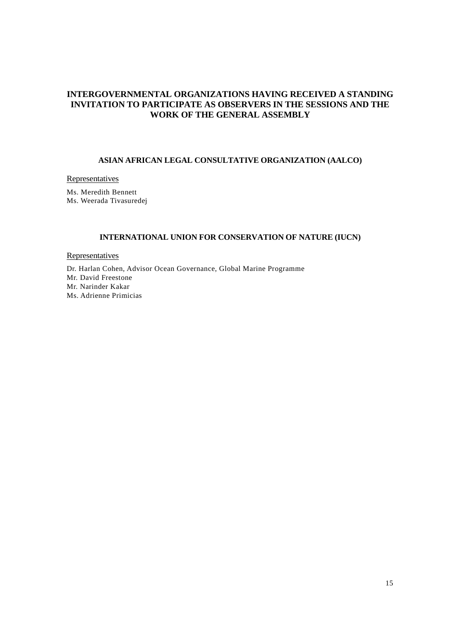# **INTERGOVERNMENTAL ORGANIZATIONS HAVING RECEIVED A STANDING INVITATION TO PARTICIPATE AS OBSERVERS IN THE SESSIONS AND THE WORK OF THE GENERAL ASSEMBLY**

### **ASIAN AFRICAN LEGAL CONSULTATIVE ORGANIZATION (AALCO)**

# Representatives

Ms. Meredith Bennett Ms. Weerada Tivasuredej

### **INTERNATIONAL UNION FOR CONSERVATION OF NATURE (IUCN)**

**Representatives** 

Dr. Harlan Cohen, Advisor Ocean Governance, Global Marine Programme Mr. David Freestone Mr. Narinder Kakar Ms. Adrienne Primicias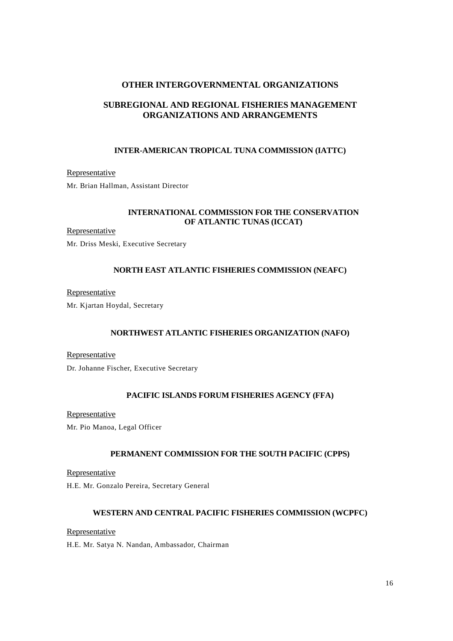# **OTHER INTERGOVERNMENTAL ORGANIZATIONS**

# **SUBREGIONAL AND REGIONAL FISHERIES MANAGEMENT ORGANIZATIONS AND ARRANGEMENTS**

### **INTER-AMERICAN TROPICAL TUNA COMMISSION (IATTC)**

Representative Mr. Brian Hallman, Assistant Director

## **INTERNATIONAL COMMISSION FOR THE CONSERVATION OF ATLANTIC TUNAS (ICCAT)**

### Representative

Mr. Driss Meski, Executive Secretary

# **NORTH EAST ATLANTIC FISHERIES COMMISSION (NEAFC)**

### Representative

Mr. Kjartan Hoydal, Secretary

# **NORTHWEST ATLANTIC FISHERIES ORGANIZATION (NAFO)**

Representative Dr. Johanne Fischer, Executive Secretary

# **PACIFIC ISLANDS FORUM FISHERIES AGENCY (FFA)**

Representative

Mr. Pio Manoa, Legal Officer

# **PERMANENT COMMISSION FOR THE SOUTH PACIFIC (CPPS)**

**Representative** H.E. Mr. Gonzalo Pereira, Secretary General

# **WESTERN AND CENTRAL PACIFIC FISHERIES COMMISSION (WCPFC)**

Representative

H.E. Mr. Satya N. Nandan, Ambassador, Chairman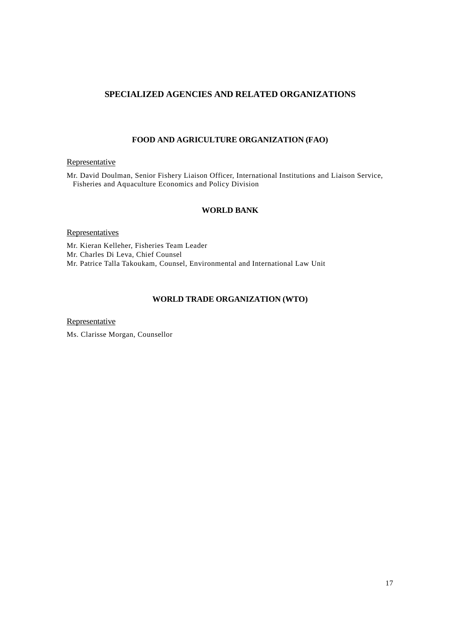# **SPECIALIZED AGENCIES AND RELATED ORGANIZATIONS**

# **FOOD AND AGRICULTURE ORGANIZATION (FAO)**

# **Representative**

Mr. David Doulman, Senior Fishery Liaison Officer, International Institutions and Liaison Service, Fisheries and Aquaculture Economics and Policy Division

### **WORLD BANK**

### Representatives

Mr. Kieran Kelleher, Fisheries Team Leader Mr. Charles Di Leva, Chief Counsel Mr. Patrice Talla Takoukam, Counsel, Environmental and International Law Unit

# **WORLD TRADE ORGANIZATION (WTO)**

**Representative** 

Ms. Clarisse Morgan, Counsellor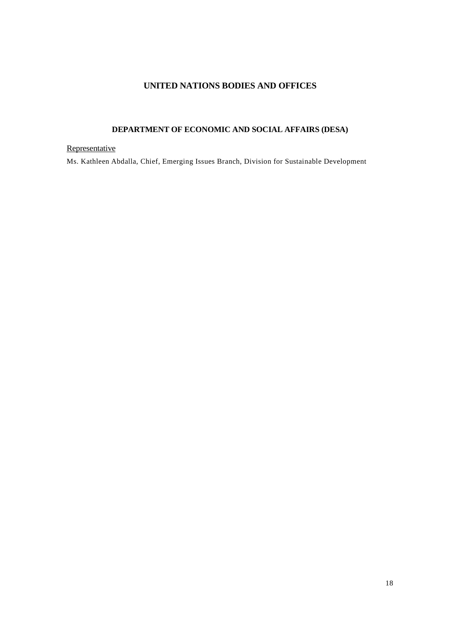# **UNITED NATIONS BODIES AND OFFICES**

# **DEPARTMENT OF ECONOMIC AND SOCIAL AFFAIRS (DESA)**

# **Representative**

Ms. Kathleen Abdalla, Chief, Emerging Issues Branch, Division for Sustainable Development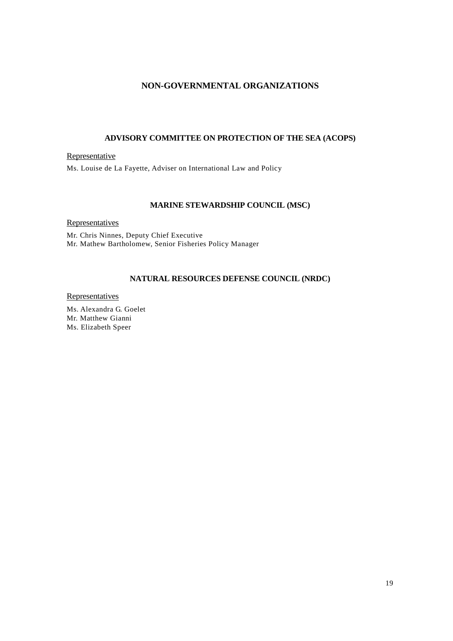# **NON-GOVERNMENTAL ORGANIZATIONS**

# **ADVISORY COMMITTEE ON PROTECTION OF THE SEA (ACOPS)**

**Representative** Ms. Louise de La Fayette, Adviser on International Law and Policy

### **MARINE STEWARDSHIP COUNCIL (MSC)**

**Representatives** 

Mr. Chris Ninnes, Deputy Chief Executive Mr. Mathew Bartholomew, Senior Fisheries Policy Manager

### **NATURAL RESOURCES DEFENSE COUNCIL (NRDC)**

**Representatives** 

Ms. Alexandra G. Goelet Mr. Matthew Gianni Ms. Elizabeth Speer